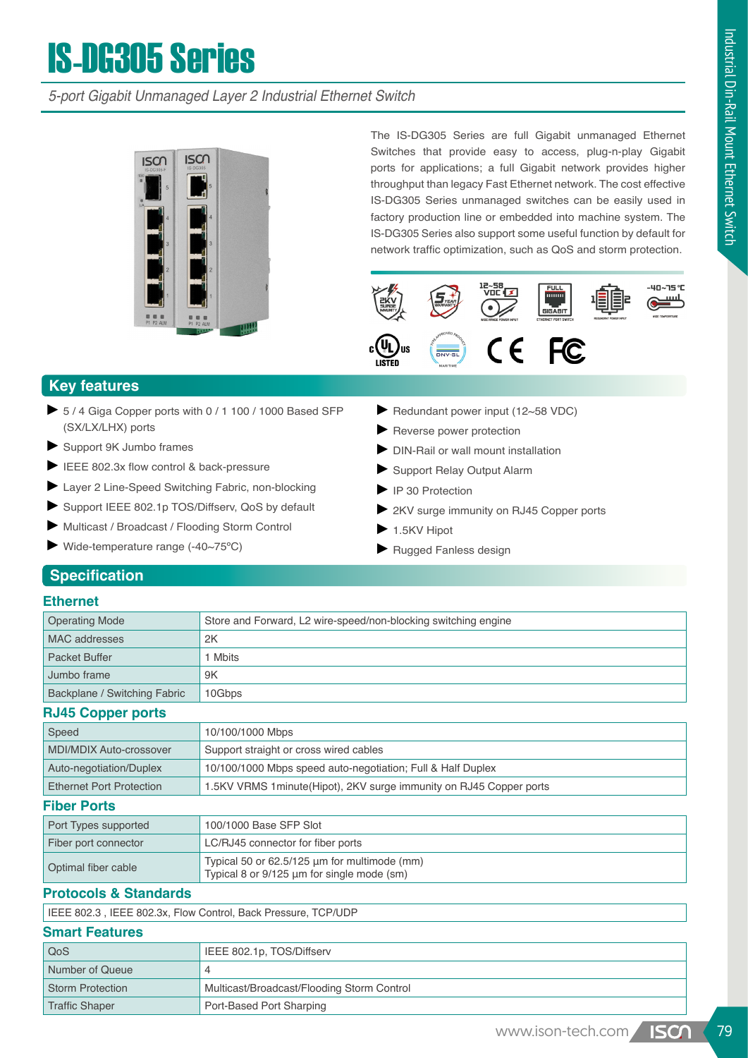# IS-DG305 Series

*5-port Gigabit Unmanaged Layer 2 Industrial Ethernet Switch*



The IS-DG305 Series are full Gigabit unmanaged Ethernet Switches that provide easy to access, plug-n-play Gigabit ports for applications; a full Gigabit network provides higher throughput than legacy Fast Ethernet network. The cost effective IS-DG305 Series unmanaged switches can be easily used in factory production line or embedded into machine system. The IS-DG305 Series also support some useful function by default for network traffic optimization, such as QoS and storm protection.



## **Key features**

- ► 5 / 4 Giga Copper ports with 0 / 1 100 / 1000 Based SFP (SX/LX/LHX) ports
- ► Support 9K Jumbo frames
- ► IEEE 802.3x flow control & back-pressure
- ► Layer 2 Line-Speed Switching Fabric, non-blocking
- ► Support IEEE 802.1p TOS/Diffserv, QoS by default
- ► Multicast / Broadcast / Flooding Storm Control
- ► Wide-temperature range (-40~75ºC)
- ► Redundant power input (12~58 VDC)
- ► Reverse power protection
- ► DIN-Rail or wall mount installation
- ► Support Relay Output Alarm
- ► IP 30 Protection
- ► 2KV surge immunity on RJ45 Copper ports
- $\blacktriangleright$  1.5KV Hipot
- ► Rugged Fanless design

## **Specification**

#### **Ethernet**

| <b>Operating Mode</b>        | Store and Forward, L2 wire-speed/non-blocking switching engine |  |  |
|------------------------------|----------------------------------------------------------------|--|--|
| MAC addresses                | 2K                                                             |  |  |
| <b>Packet Buffer</b>         | Mbits                                                          |  |  |
| Jumbo frame                  | 9K                                                             |  |  |
| Backplane / Switching Fabric | 10Gbps                                                         |  |  |
| <b>DIAC Connormants</b>      |                                                                |  |  |

#### **RJ45 Copper ports**

| Speed                           | 10/100/1000 Mbps                                                                           |  |  |
|---------------------------------|--------------------------------------------------------------------------------------------|--|--|
| MDI/MDIX Auto-crossover         | Support straight or cross wired cables                                                     |  |  |
| Auto-negotiation/Duplex         | 10/100/1000 Mbps speed auto-negotiation; Full & Half Duplex                                |  |  |
| <b>Ethernet Port Protection</b> | 1.5KV VRMS 1 minute (Hipot), 2KV surge immunity on RJ45 Copper ports                       |  |  |
| <b>Fiber Ports</b>              |                                                                                            |  |  |
| Port Types supported            | 100/1000 Base SFP Slot                                                                     |  |  |
| Fiber port connector            | LC/RJ45 connector for fiber ports                                                          |  |  |
| Optimal fiber cable             | Typical 50 or 62.5/125 µm for multimode (mm)<br>Typical 8 or 9/125 µm for single mode (sm) |  |  |

#### **Protocols & Standards**

IEEE 802.3 , IEEE 802.3x, Flow Control, Back Pressure, TCP/UDP

#### **Smart Features**

| QoS              | IEEE 802.1p, TOS/Diffserv                  |
|------------------|--------------------------------------------|
| Number of Queue  |                                            |
| Storm Protection | Multicast/Broadcast/Flooding Storm Control |
| Traffic Shaper   | Port-Based Port Sharping                   |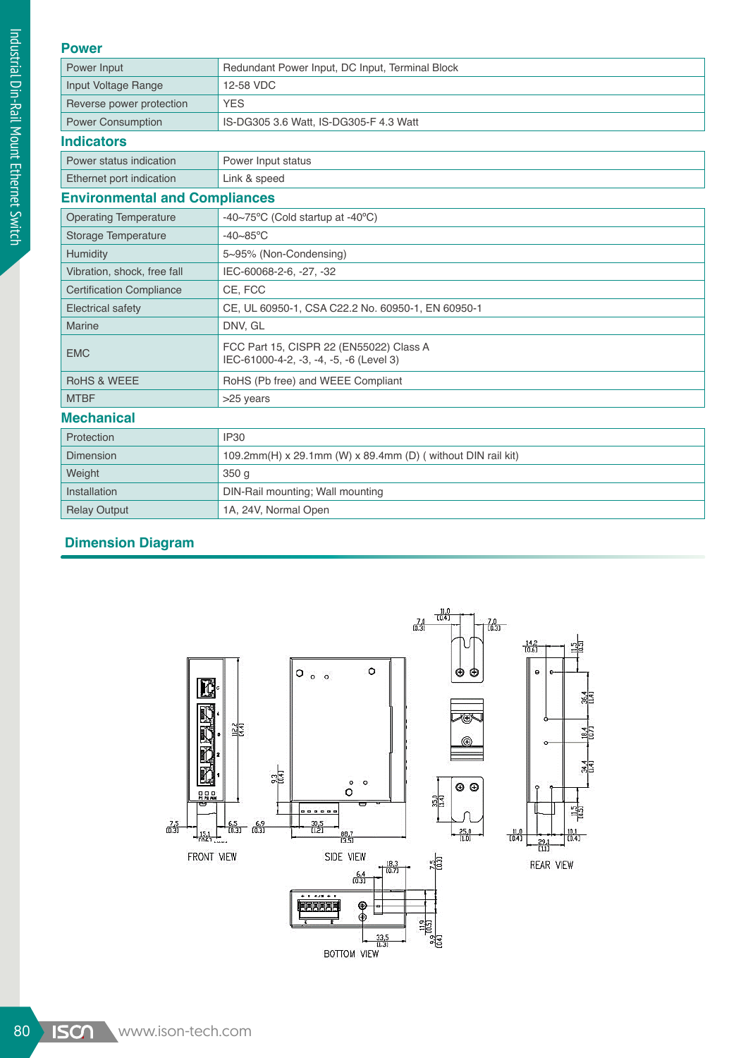#### **Power**

| $\mathbf{v}$ vv $\mathbf{v}$         |                                                                                    |  |  |  |
|--------------------------------------|------------------------------------------------------------------------------------|--|--|--|
| Power Input                          | Redundant Power Input, DC Input, Terminal Block                                    |  |  |  |
| Input Voltage Range                  | 12-58 VDC                                                                          |  |  |  |
| Reverse power protection             | <b>YES</b>                                                                         |  |  |  |
| <b>Power Consumption</b>             | IS-DG305 3.6 Watt, IS-DG305-F 4.3 Watt                                             |  |  |  |
| <b>Indicators</b>                    |                                                                                    |  |  |  |
| Power status indication              | Power Input status                                                                 |  |  |  |
| Ethernet port indication             | Link & speed                                                                       |  |  |  |
| <b>Environmental and Compliances</b> |                                                                                    |  |  |  |
| <b>Operating Temperature</b>         | -40~75°C (Cold startup at -40°C)                                                   |  |  |  |
| Storage Temperature                  | $-40 - 85$ °C                                                                      |  |  |  |
| Humidity                             | 5~95% (Non-Condensing)                                                             |  |  |  |
| Vibration, shock, free fall          | IEC-60068-2-6, -27, -32                                                            |  |  |  |
| <b>Certification Compliance</b>      | CE. FCC                                                                            |  |  |  |
| <b>Electrical safety</b>             | CE, UL 60950-1, CSA C22.2 No. 60950-1, EN 60950-1                                  |  |  |  |
| <b>Marine</b>                        | DNV, GL                                                                            |  |  |  |
| <b>EMC</b>                           | FCC Part 15, CISPR 22 (EN55022) Class A<br>IEC-61000-4-2, -3, -4, -5, -6 (Level 3) |  |  |  |
| <b>RoHS &amp; WEEE</b>               | RoHS (Pb free) and WEEE Compliant                                                  |  |  |  |
| <b>MTBF</b>                          | >25 years                                                                          |  |  |  |
| <b>Mechanical</b>                    |                                                                                    |  |  |  |
| Protection                           | <b>IP30</b>                                                                        |  |  |  |
| Dimension                            | 109.2mm(H) x 29.1mm (W) x 89.4mm (D) ( without DIN rail kit)                       |  |  |  |
| Weight                               | 350 <sub>g</sub>                                                                   |  |  |  |
| Installation                         | DIN-Rail mounting; Wall mounting                                                   |  |  |  |
| <b>Relay Output</b>                  | 1A, 24V, Normal Open                                                               |  |  |  |

## **Dimension Diagram**